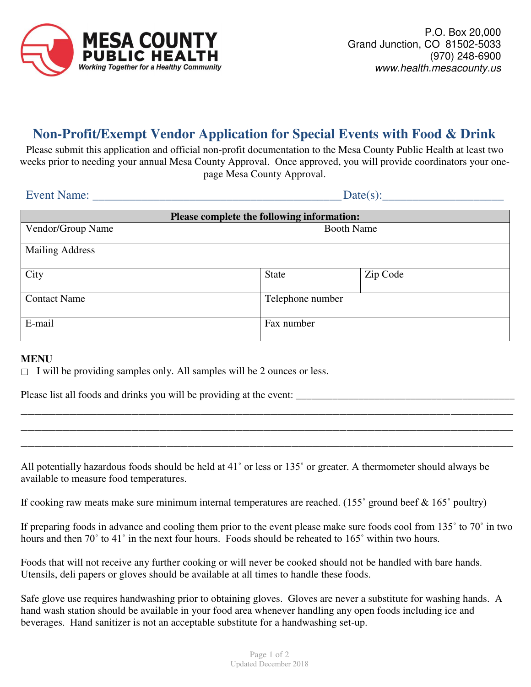

# **Non-Profit/Exempt Vendor Application for Special Events with Food & Drink**

Please submit this application and official non-profit documentation to the Mesa County Public Health at least two weeks prior to needing your annual Mesa County Approval. Once approved, you will provide coordinators your onepage Mesa County Approval.

| <b>Event Name:</b>                         | Date(s):          |                  |  |
|--------------------------------------------|-------------------|------------------|--|
| Please complete the following information: |                   |                  |  |
| Vendor/Group Name                          | <b>Booth Name</b> |                  |  |
| <b>Mailing Address</b>                     |                   |                  |  |
| City                                       | <b>State</b>      | Zip Code         |  |
| <b>Contact Name</b>                        |                   | Telephone number |  |
| E-mail                                     | Fax number        |                  |  |

#### **MENU**

 $\Box$  I will be providing samples only. All samples will be 2 ounces or less.

Please list all foods and drinks you will be providing at the event:

All potentially hazardous foods should be held at 41˚ or less or 135˚ or greater. A thermometer should always be available to measure food temperatures.

\_\_\_\_\_\_\_\_\_\_\_\_\_\_\_\_\_\_\_\_\_\_\_\_\_\_\_\_\_\_\_\_\_\_\_\_\_\_\_\_\_\_\_\_\_\_\_\_\_\_\_\_\_\_\_\_\_\_\_\_\_\_\_\_\_\_\_\_\_\_\_ \_\_\_\_\_\_\_\_\_\_\_\_\_\_\_\_\_\_\_\_\_\_\_\_\_\_\_\_\_\_\_\_\_\_\_\_\_\_\_\_\_\_\_\_\_\_\_\_\_\_\_\_\_\_\_\_\_\_\_\_\_\_\_\_\_\_\_\_\_\_\_ \_\_\_\_\_\_\_\_\_\_\_\_\_\_\_\_\_\_\_\_\_\_\_\_\_\_\_\_\_\_\_\_\_\_\_\_\_\_\_\_\_\_\_\_\_\_\_\_\_\_\_\_\_\_\_\_\_\_\_\_\_\_\_\_\_\_\_\_\_\_\_

If cooking raw meats make sure minimum internal temperatures are reached. (155 $\degree$  ground beef & 165 $\degree$  poultry)

If preparing foods in advance and cooling them prior to the event please make sure foods cool from 135˚ to 70˚ in two hours and then 70° to 41° in the next four hours. Foods should be reheated to 165° within two hours.

Foods that will not receive any further cooking or will never be cooked should not be handled with bare hands. Utensils, deli papers or gloves should be available at all times to handle these foods.

Safe glove use requires handwashing prior to obtaining gloves. Gloves are never a substitute for washing hands. A hand wash station should be available in your food area whenever handling any open foods including ice and beverages. Hand sanitizer is not an acceptable substitute for a handwashing set-up.